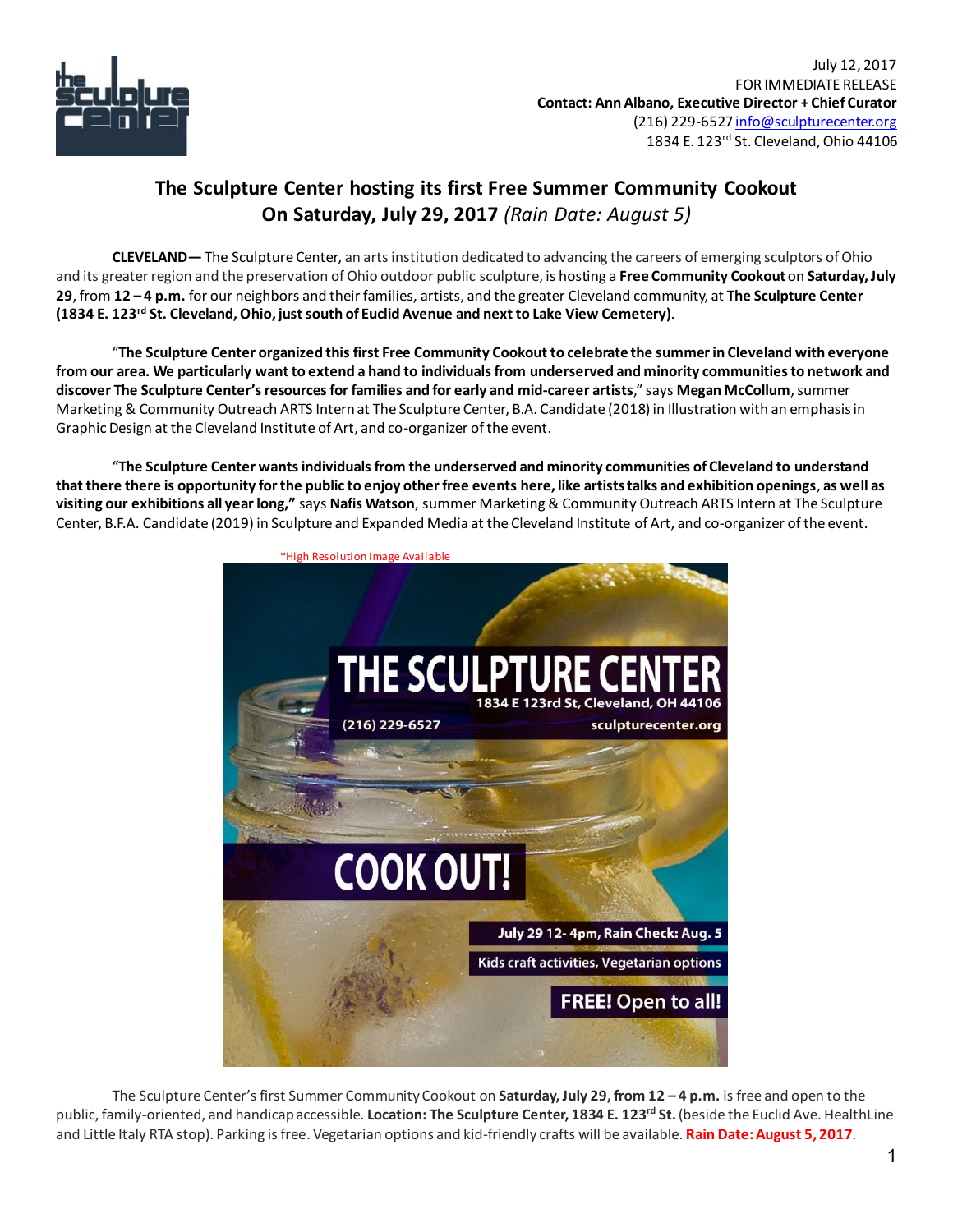

## **The Sculpture Center hosting its first Free Summer Community Cookout On Saturday, July 29, 2017** *(Rain Date: August 5)*

**CLEVELAND—** The Sculpture Center, an arts institution dedicated to advancing the careers of emerging sculptors of Ohio and its greater region and the preservation of Ohio outdoor public sculpture, is hosting a **Free Community Cookout**on **Saturday, July 29**, from **12 – 4 p.m.** for our neighbors and their families, artists, and the greater Cleveland community, at **The Sculpture Center (1834 E. 123rd St. Cleveland, Ohio, just south of Euclid Avenue and next to Lake View Cemetery)**.

"**The Sculpture Center organized this first Free Community Cookout to celebrate the summer in Cleveland with everyone from our area. We particularly want to extend a hand to individuals from underserved and minority communitiesto network and discover The Sculpture Center's resources for families and for early and mid-career artists**," says **Megan McCollum**, summer Marketing & Community Outreach ARTS Internat The Sculpture Center, B.A. Candidate (2018) in Illustration with an emphasis in Graphic Design at the Cleveland Institute of Art, and co-organizer of the event.

"**The Sculpture Center wants individuals from the underserved and minority communities of Cleveland to understand that there there is opportunity for the public to enjoy other free events here, like artists talks and exhibition openings**, **as well as visiting our exhibitions all year long,"** says **Nafis Watson**, summer Marketing & Community Outreach ARTS Intern at The Sculpture Center, B.F.A. Candidate (2019) in Sculpture and Expanded Media at the Cleveland Institute of Art, and co-organizer of the event.



The Sculpture Center's first Summer Community Cookout on **Saturday, July 29, from 12 – 4 p.m.** is free and open to the public, family-oriented, and handicap accessible. **Location: The Sculpture Center, 1834 E. 123rd St.**(beside the Euclid Ave. HealthLine and Little Italy RTA stop). Parking is free. Vegetarian options and kid-friendly crafts will be available. **Rain Date: August 5, 2017**.